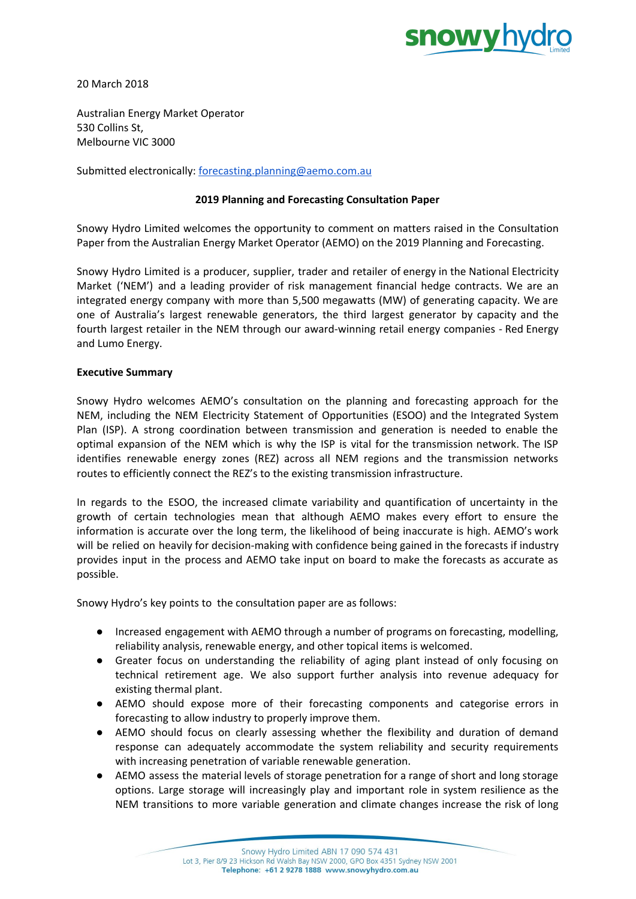

20 March 2018

Australian Energy Market Operator 530 Collins St, Melbourne VIC 3000

Submitted electronically: [forecasting.planning@aemo.com.au](mailto:forecasting.planning@aemo.com.au)

# **2019 Planning and Forecasting Consultation Paper**

Snowy Hydro Limited welcomes the opportunity to comment on matters raised in the Consultation Paper from the Australian Energy Market Operator (AEMO) on the 2019 Planning and Forecasting.

Snowy Hydro Limited is a producer, supplier, trader and retailer of energy in the National Electricity Market ('NEM') and a leading provider of risk management financial hedge contracts. We are an integrated energy company with more than 5,500 megawatts (MW) of generating capacity. We are one of Australia's largest renewable generators, the third largest generator by capacity and the fourth largest retailer in the NEM through our award-winning retail energy companies - Red Energy and Lumo Energy.

## **Executive Summary**

Snowy Hydro welcomes AEMO's consultation on the planning and forecasting approach for the NEM, including the NEM Electricity Statement of Opportunities (ESOO) and the Integrated System Plan (ISP). A strong coordination between transmission and generation is needed to enable the optimal expansion of the NEM which is why the ISP is vital for the transmission network. The ISP identifies renewable energy zones (REZ) across all NEM regions and the transmission networks routes to efficiently connect the REZ's to the existing transmission infrastructure.

In regards to the ESOO, the increased climate variability and quantification of uncertainty in the growth of certain technologies mean that although AEMO makes every effort to ensure the information is accurate over the long term, the likelihood of being inaccurate is high. AEMO's work will be relied on heavily for decision-making with confidence being gained in the forecasts if industry provides input in the process and AEMO take input on board to make the forecasts as accurate as possible.

Snowy Hydro's key points to the consultation paper are as follows:

- Increased engagement with AEMO through a number of programs on forecasting, modelling, reliability analysis, renewable energy, and other topical items is welcomed.
- Greater focus on understanding the reliability of aging plant instead of only focusing on technical retirement age. We also support further analysis into revenue adequacy for existing thermal plant.
- AEMO should expose more of their forecasting components and categorise errors in forecasting to allow industry to properly improve them.
- AEMO should focus on clearly assessing whether the flexibility and duration of demand response can adequately accommodate the system reliability and security requirements with increasing penetration of variable renewable generation.
- AEMO assess the material levels of storage penetration for a range of short and long storage options. Large storage will increasingly play and important role in system resilience as the NEM transitions to more variable generation and climate changes increase the risk of long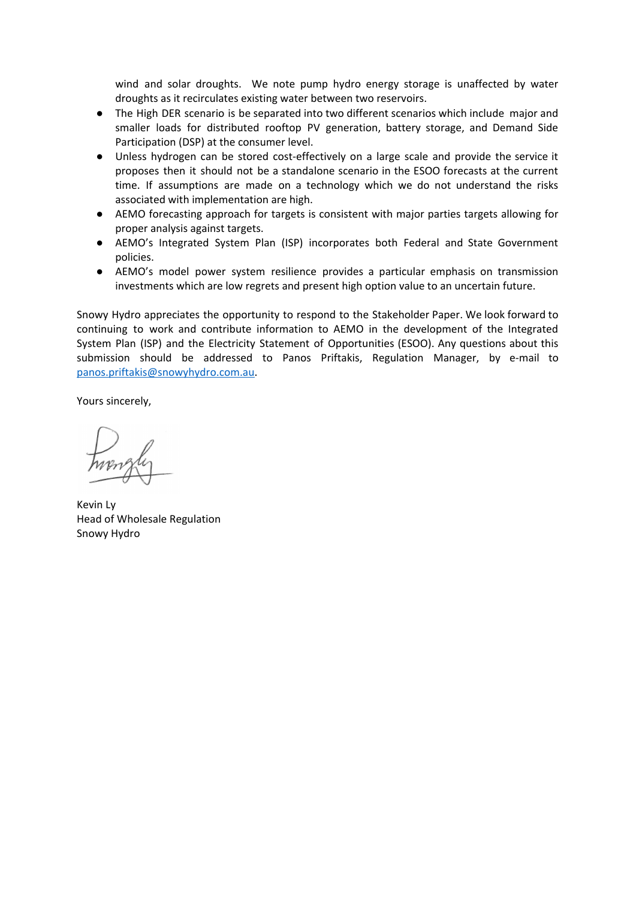wind and solar droughts. We note pump hydro energy storage is unaffected by water droughts as it recirculates existing water between two reservoirs.

- The High DER scenario is be separated into two different scenarios which include major and smaller loads for distributed rooftop PV generation, battery storage, and Demand Side Participation (DSP) at the consumer level.
- Unless hydrogen can be stored cost-effectively on a large scale and provide the service it proposes then it should not be a standalone scenario in the ESOO forecasts at the current time. If assumptions are made on a technology which we do not understand the risks associated with implementation are high.
- AEMO forecasting approach for targets is consistent with major parties targets allowing for proper analysis against targets.
- AEMO's Integrated System Plan (ISP) incorporates both Federal and State Government policies.
- AEMO's model power system resilience provides a particular emphasis on transmission investments which are low regrets and present high option value to an uncertain future.

Snowy Hydro appreciates the opportunity to respond to the Stakeholder Paper. We look forward to continuing to work and contribute information to AEMO in the development of the Integrated System Plan (ISP) and the Electricity Statement of Opportunities (ESOO). Any questions about this submission should be addressed to Panos Priftakis, Regulation Manager, by e-mail to [panos.priftakis@snowyhydro.com.au.](mailto:panos.priftakis@snowyhydro.com.au)

Yours sincerely,

Kevin Ly Head of Wholesale Regulation Snowy Hydro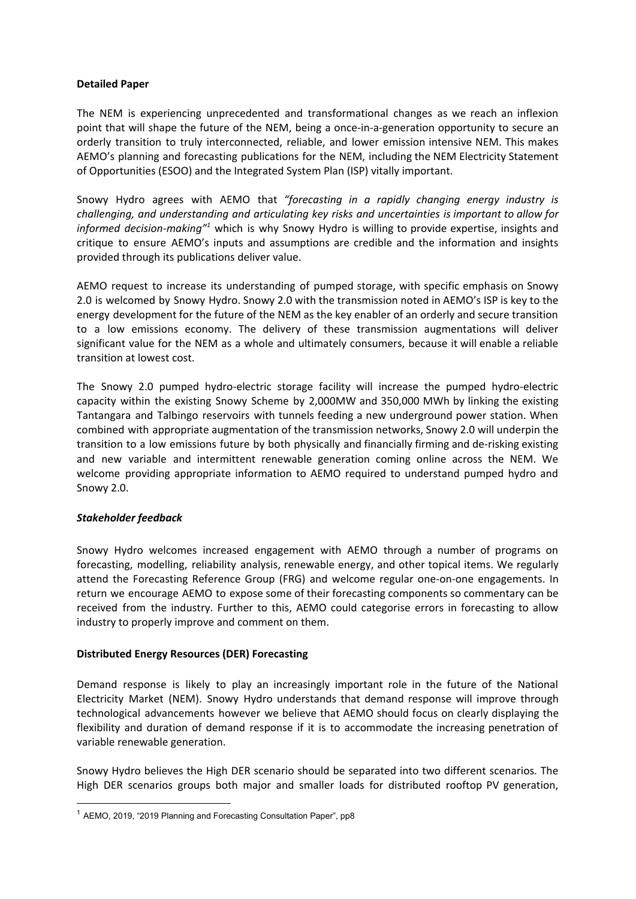## **Detailed Paper**

The NEM is experiencing unprecedented and transformational changes as we reach an inflexion point that will shape the future of the NEM, being a once-in-a-generation opportunity to secure an orderly transition to truly interconnected, reliable, and lower emission intensive NEM. This makes AEMO's planning and forecasting publications for the NEM, including the NEM Electricity Statement of Opportunities (ESOO) and the Integrated System Plan (ISP) vitally important.

Snowy Hydro agrees with AEMO that *"forecasting in a rapidly changing energy industry is challenging, and understanding and articulating key risks and uncertainties is important to allow for* informed decision-making<sup>"1</sup> which is why Snowy Hydro is willing to provide expertise, insights and critique to ensure AEMO's inputs and assumptions are credible and the information and insights provided through its publications deliver value.

AEMO request to increase its understanding of pumped storage, with specific emphasis on Snowy 2.0 is welcomed by Snowy Hydro. Snowy 2.0 with the transmission noted in AEMO's ISP is key to the energy development for the future of the NEM as the key enabler of an orderly and secure transition to a low emissions economy. The delivery of these transmission augmentations will deliver significant value for the NEM as a whole and ultimately consumers, because it will enable a reliable transition at lowest cost.

The Snowy 2.0 pumped hydro-electric storage facility will increase the pumped hydro-electric capacity within the existing Snowy Scheme by 2,000MW and 350,000 MWh by linking the existing Tantangara and Talbingo reservoirs with tunnels feeding a new underground power station. When combined with appropriate augmentation of the transmission networks, Snowy 2.0 will underpin the transition to a low emissions future by both physically and financially firming and de-risking existing and new variable and intermittent renewable generation coming online across the NEM. We welcome providing appropriate information to AEMO required to understand pumped hydro and Snowy 2.0.

## *Stakeholder feedback*

Snowy Hydro welcomes increased engagement with AEMO through a number of programs on forecasting, modelling, reliability analysis, renewable energy, and other topical items. We regularly attend the Forecasting Reference Group (FRG) and welcome regular one-on-one engagements. In return we encourage AEMO to expose some of their forecasting components so commentary can be received from the industry. Further to this, AEMO could categorise errors in forecasting to allow industry to properly improve and comment on them.

## **Distributed Energy Resources (DER) Forecasting**

Demand response is likely to play an increasingly important role in the future of the National Electricity Market (NEM). Snowy Hydro understands that demand response will improve through technological advancements however we believe that AEMO should focus on clearly displaying the flexibility and duration of demand response if it is to accommodate the increasing penetration of variable renewable generation.

Snowy Hydro believes the High DER scenario should be separated into two different scenarios. The High DER scenarios groups both major and smaller loads for distributed rooftop PV generation,

<sup>&</sup>lt;sup>1</sup> AEMO, 2019, "2019 Planning and Forecasting Consultation Paper", pp8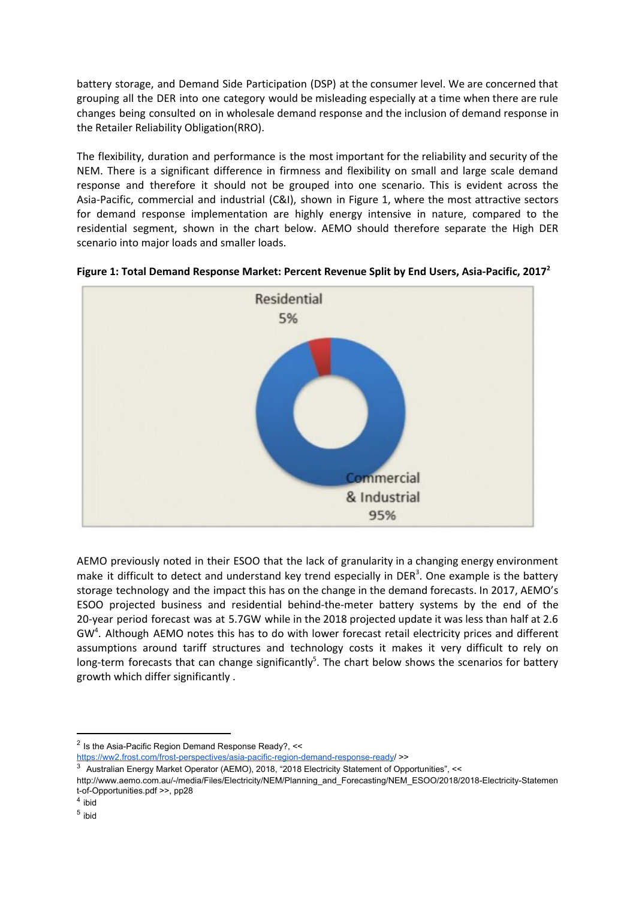battery storage, and Demand Side Participation (DSP) at the consumer level. We are concerned that grouping all the DER into one category would be misleading especially at a time when there are rule changes being consulted on in wholesale demand response and the inclusion of demand response in the Retailer Reliability Obligation(RRO).

The flexibility, duration and performance is the most important for the reliability and security of the NEM. There is a significant difference in firmness and flexibility on small and large scale demand response and therefore it should not be grouped into one scenario. This is evident across the Asia-Pacific, commercial and industrial (C&I), shown in Figure 1, where the most attractive sectors for demand response implementation are highly energy intensive in nature, compared to the residential segment, shown in the chart below. AEMO should therefore separate the High DER scenario into major loads and smaller loads.





AEMO previously noted in their ESOO that the lack of granularity in a changing energy environment make it difficult to detect and understand key trend especially in DER<sup>3</sup>. One example is the battery storage technology and the impact this has on the change in the demand forecasts. In 2017, AEMO's ESOO projected business and residential behind-the-meter battery systems by the end of the 20-year period forecast was at 5.7GW while in the 2018 projected update it was less than half at 2.6  $GW<sup>4</sup>$ . Although AEMO notes this has to do with lower forecast retail electricity prices and different assumptions around tariff structures and technology costs it makes it very difficult to rely on long-term forecasts that can change significantly<sup>5</sup>. The chart below shows the scenarios for battery growth which differ significantly .

<sup>&</sup>lt;sup>2</sup> Is the Asia-Pacific Region Demand Response Ready?, <<

<https://ww2.frost.com/frost-perspectives/asia-pacific-region-demand-response-ready>/ >>

<sup>&</sup>lt;sup>3</sup> Australian Energy Market Operator (AEMO), 2018, "2018 Electricity Statement of Opportunities", <<

http://www.aemo.com.au/-/media/Files/Electricity/NEM/Planning\_and\_Forecasting/NEM\_ESOO/2018/2018-Electricity-Statemen t-of-Opportunities.pdf >>, pp28

<sup>4</sup> ibid

<sup>&</sup>lt;sup>5</sup> ibid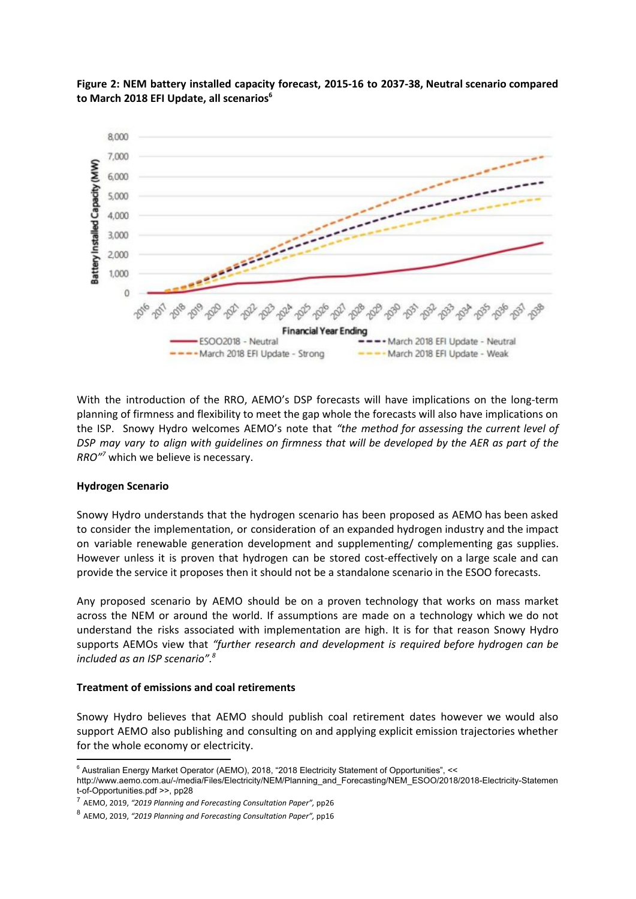

**Figure 2: NEM battery installed capacity forecast, 2015-16 to 2037-38, Neutral scenario compared to March 2018 EFI Update, all scenarios 6**

With the introduction of the RRO, AEMO's DSP forecasts will have implications on the long-term planning of firmness and flexibility to meet the gap whole the forecasts will also have implications on the ISP. Snowy Hydro welcomes AEMO's note that *"the method for assessing the current level of* DSP may vary to align with quidelines on firmness that will be developed by the AER as part of the RRO<sup>"7</sup> which we believe is necessary.

#### **Hydrogen Scenario**

Snowy Hydro understands that the hydrogen scenario has been proposed as AEMO has been asked to consider the implementation, or consideration of an expanded hydrogen industry and the impact on variable renewable generation development and supplementing/ complementing gas supplies. However unless it is proven that hydrogen can be stored cost-effectively on a large scale and can provide the service it proposes then it should not be a standalone scenario in the ESOO forecasts.

Any proposed scenario by AEMO should be on a proven technology that works on mass market across the NEM or around the world. If assumptions are made on a technology which we do not understand the risks associated with implementation are high. It is for that reason Snowy Hydro supports AEMOs view that *"further research and development is required before hydrogen can be included as an ISP scenario". 8*

#### **Treatment of emissions and coal retirements**

Snowy Hydro believes that AEMO should publish coal retirement dates however we would also support AEMO also publishing and consulting on and applying explicit emission trajectories whether for the whole economy or electricity.

<sup>&</sup>lt;sup>6</sup> Australian Energy Market Operator (AEMO), 2018, "2018 Electricity Statement of Opportunities", <<

http://www.aemo.com.au/-/media/Files/Electricity/NEM/Planning\_and\_Forecasting/NEM\_ESOO/2018/2018-Electricity-Statemen t-of-Opportunities.pdf >>, pp28

<sup>7</sup> AEMO, 2019, *"2019 Planning and Forecasting Consultation Paper",* pp26

<sup>8</sup> AEMO, 2019, *"2019 Planning and Forecasting Consultation Paper",* pp16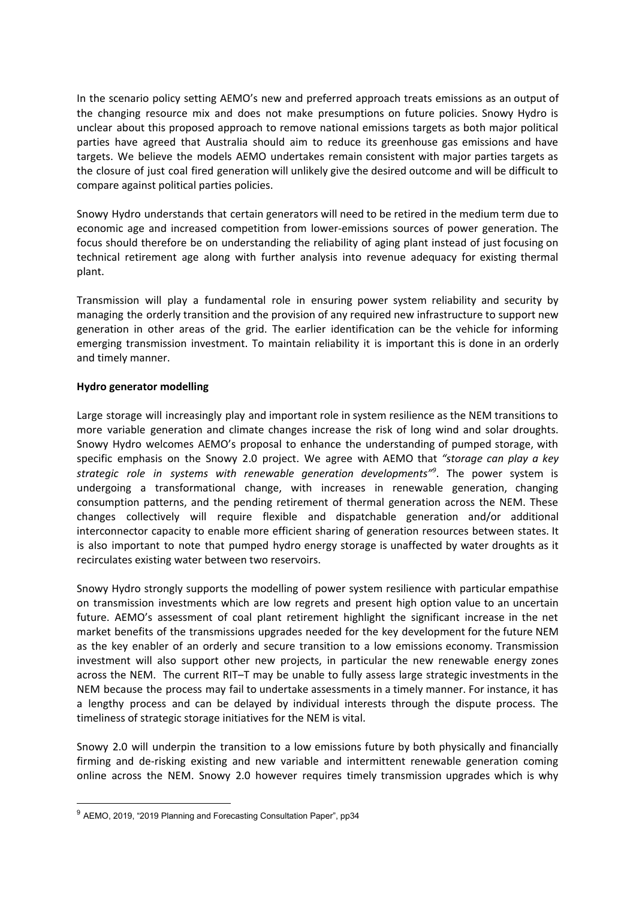In the scenario policy setting AEMO's new and preferred approach treats emissions as an output of the changing resource mix and does not make presumptions on future policies. Snowy Hydro is unclear about this proposed approach to remove national emissions targets as both major political parties have agreed that Australia should aim to reduce its greenhouse gas emissions and have targets. We believe the models AEMO undertakes remain consistent with major parties targets as the closure of just coal fired generation will unlikely give the desired outcome and will be difficult to compare against political parties policies.

Snowy Hydro understands that certain generators will need to be retired in the medium term due to economic age and increased competition from lower-emissions sources of power generation. The focus should therefore be on understanding the reliability of aging plant instead of just focusing on technical retirement age along with further analysis into revenue adequacy for existing thermal plant.

Transmission will play a fundamental role in ensuring power system reliability and security by managing the orderly transition and the provision of any required new infrastructure to support new generation in other areas of the grid. The earlier identification can be the vehicle for informing emerging transmission investment. To maintain reliability it is important this is done in an orderly and timely manner.

## **Hydro generator modelling**

Large storage will increasingly play and important role in system resilience as the NEM transitions to more variable generation and climate changes increase the risk of long wind and solar droughts. Snowy Hydro welcomes AEMO's proposal to enhance the understanding of pumped storage, with specific emphasis on the Snowy 2.0 project. We agree with AEMO that *"storage can play a key strategic role in systems with renewable generation developments"* . The power system is *9* undergoing a transformational change, with increases in renewable generation, changing consumption patterns, and the pending retirement of thermal generation across the NEM. These changes collectively will require flexible and dispatchable generation and/or additional interconnector capacity to enable more efficient sharing of generation resources between states. It is also important to note that pumped hydro energy storage is unaffected by water droughts as it recirculates existing water between two reservoirs.

Snowy Hydro strongly supports the modelling of power system resilience with particular empathise on transmission investments which are low regrets and present high option value to an uncertain future. AEMO's assessment of coal plant retirement highlight the significant increase in the net market benefits of the transmissions upgrades needed for the key development for the future NEM as the key enabler of an orderly and secure transition to a low emissions economy. Transmission investment will also support other new projects, in particular the new renewable energy zones across the NEM. The current RIT–T may be unable to fully assess large strategic investments in the NEM because the process may fail to undertake assessments in a timely manner. For instance, it has a lengthy process and can be delayed by individual interests through the dispute process. The timeliness of strategic storage initiatives for the NEM is vital.

Snowy 2.0 will underpin the transition to a low emissions future by both physically and financially firming and de-risking existing and new variable and intermittent renewable generation coming online across the NEM. Snowy 2.0 however requires timely transmission upgrades which is why

<sup>&</sup>lt;sup>9</sup> AEMO, 2019, "2019 Planning and Forecasting Consultation Paper", pp34